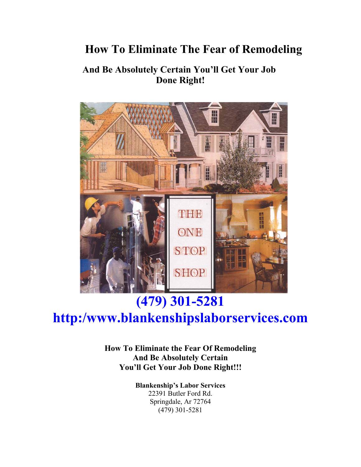## **How To Eliminate The Fear of Remodeling**

## **And Be Absolutely Certain You'll Get Your Job Done Right!**



# **(479) 301-5281**

## **http:/www.blankenshipslaborservices.com**

**How To Eliminate the Fear Of Remodeling And Be Absolutely Certain You'll Get Your Job Done Right!!!**

> **Blankenship's Labor Services** 22391 Butler Ford Rd. Springdale, Ar 72764 (479) 301-5281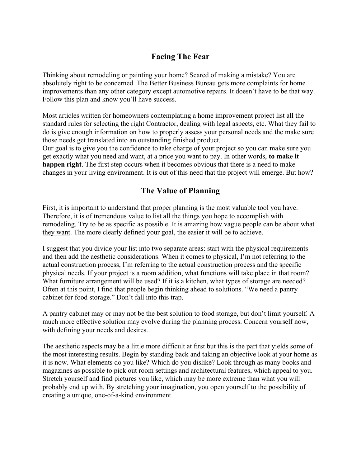## **Facing The Fear**

Thinking about remodeling or painting your home? Scared of making a mistake? You are absolutely right to be concerned. The Better Business Bureau gets more complaints for home improvements than any other category except automotive repairs. It doesn't have to be that way. Follow this plan and know you'll have success.

Most articles written for homeowners contemplating a home improvement project list all the standard rules for selecting the right Contractor, dealing with legal aspects, etc. What they fail to do is give enough information on how to properly assess your personal needs and the make sure those needs get translated into an outstanding finished product.

Our goal is to give you the confidence to take charge of your project so you can make sure you get exactly what you need and want, at a price you want to pay. In other words, **to make it happen right**. The first step occurs when it becomes obvious that there is a need to make changes in your living environment. It is out of this need that the project will emerge. But how?

## **The Value of Planning**

First, it is important to understand that proper planning is the most valuable tool you have. Therefore, it is of tremendous value to list all the things you hope to accomplish with remodeling. Try to be as specific as possible. It is amazing how vague people can be about what they want. The more clearly defined your goal, the easier it will be to achieve.

I suggest that you divide your list into two separate areas: start with the physical requirements and then add the aesthetic considerations. When it comes to physical, I'm not referring to the actual construction process, I'm referring to the actual construction process and the specific physical needs. If your project is a room addition, what functions will take place in that room? What furniture arrangement will be used? If it is a kitchen, what types of storage are needed? Often at this point, I find that people begin thinking ahead to solutions. "We need a pantry cabinet for food storage." Don't fall into this trap.

A pantry cabinet may or may not be the best solution to food storage, but don't limit yourself. A much more effective solution may evolve during the planning process. Concern yourself now, with defining your needs and desires.

The aesthetic aspects may be a little more difficult at first but this is the part that yields some of the most interesting results. Begin by standing back and taking an objective look at your home as it is now. What elements do you like? Which do you dislike? Look through as many books and magazines as possible to pick out room settings and architectural features, which appeal to you. Stretch yourself and find pictures you like, which may be more extreme than what you will probably end up with. By stretching your imagination, you open yourself to the possibility of creating a unique, one-of-a-kind environment.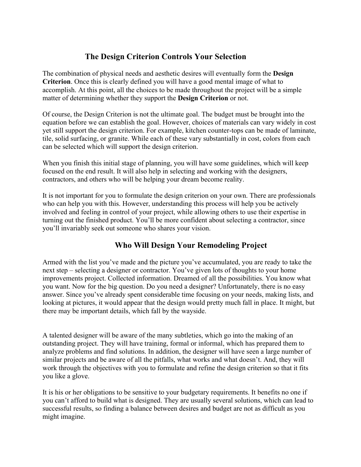## **The Design Criterion Controls Your Selection**

The combination of physical needs and aesthetic desires will eventually form the **Design Criterion**. Once this is clearly defined you will have a good mental image of what to accomplish. At this point, all the choices to be made throughout the project will be a simple matter of determining whether they support the **Design Criterion** or not.

Of course, the Design Criterion is not the ultimate goal. The budget must be brought into the equation before we can establish the goal. However, choices of materials can vary widely in cost yet still support the design criterion. For example, kitchen counter-tops can be made of laminate, tile, solid surfacing, or granite. While each of these vary substantially in cost, colors from each can be selected which will support the design criterion.

When you finish this initial stage of planning, you will have some guidelines, which will keep focused on the end result. It will also help in selecting and working with the designers, contractors, and others who will be helping your dream become reality.

It is not important for you to formulate the design criterion on your own. There are professionals who can help you with this. However, understanding this process will help you be actively involved and feeling in control of your project, while allowing others to use their expertise in turning out the finished product. You'll be more confident about selecting a contractor, since you'll invariably seek out someone who shares your vision.

## **Who Will Design Your Remodeling Project**

Armed with the list you've made and the picture you've accumulated, you are ready to take the next step – selecting a designer or contractor. You've given lots of thoughts to your home improvements project. Collected information. Dreamed of all the possibilities. You know what you want. Now for the big question. Do you need a designer? Unfortunately, there is no easy answer. Since you've already spent considerable time focusing on your needs, making lists, and looking at pictures, it would appear that the design would pretty much fall in place. It might, but there may be important details, which fall by the wayside.

A talented designer will be aware of the many subtleties, which go into the making of an outstanding project. They will have training, formal or informal, which has prepared them to analyze problems and find solutions. In addition, the designer will have seen a large number of similar projects and be aware of all the pitfalls, what works and what doesn't. And, they will work through the objectives with you to formulate and refine the design criterion so that it fits you like a glove.

It is his or her obligations to be sensitive to your budgetary requirements. It benefits no one if you can't afford to build what is designed. They are usually several solutions, which can lead to successful results, so finding a balance between desires and budget are not as difficult as you might imagine.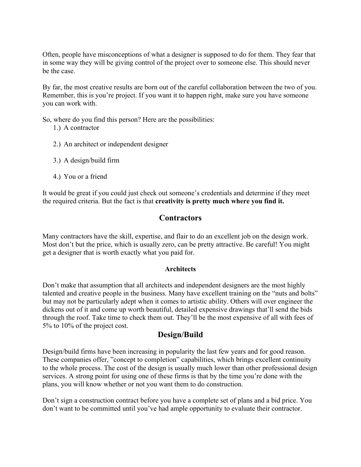Often, people have misconceptions of what a designer is supposed to do for them. They fear that in some way they will be giving control of the project over to someone else. This should never be the case.

By far, the most creative results are born out of the careful collaboration between the two of you. Remember, this is you're project. If you want it to happen right, make sure you have someone you can work with.

So, where do you find this person? Here are the possibilities:

- 1.) A contractor
- 2.) An architect or independent designer
- 3.) A design/build firm
- 4.) You or a friend

It would be great if you could just check out someone's credentials and determine if they meet the required criteria. But the fact is that **creativity is pretty much where you find it.**

#### **Contractors**

Many contractors have the skill, expertise, and flair to do an excellent job on the design work. Most don't but the price, which is usually zero, can be pretty attractive. Be careful! You might get a designer that is worth exactly what you paid for.

#### **Architects**

Don't make that assumption that all architects and independent designers are the most highly talented and creative people in the business. Many have excellent training on the "nuts and bolts" but may not be particularly adept when it comes to artistic ability. Others will over engineer the dickens out of it and come up worth beautiful, detailed expensive drawings that'll send the bids through the roof. Take time to check them out. They'll be the most expensive of all with fees of 5% to 10% of the project cost.

#### **Design/Build**

Design/build firms have been increasing in popularity the last few years and for good reason. These companies offer, "concept to completion" capabilities, which brings excellent continuity to the whole process. The cost of the design is usually much lower than other professional design services. A strong point for using one of these firms is that by the time you're done with the plans, you will know whether or not you want them to do construction.

Don't sign a construction contract before you have a complete set of plans and a bid price. You don't want to be committed until you've had ample opportunity to evaluate their contractor.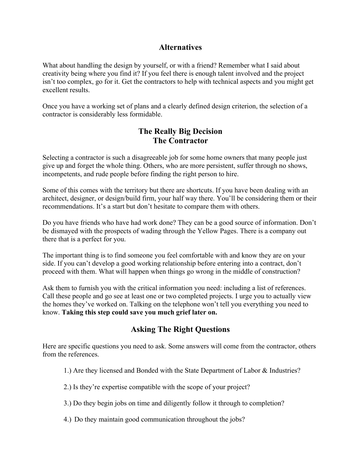#### **Alternatives**

What about handling the design by yourself, or with a friend? Remember what I said about creativity being where you find it? If you feel there is enough talent involved and the project isn't too complex, go for it. Get the contractors to help with technical aspects and you might get excellent results.

Once you have a working set of plans and a clearly defined design criterion, the selection of a contractor is considerably less formidable.

## **The Really Big Decision The Contractor**

Selecting a contractor is such a disagreeable job for some home owners that many people just give up and forget the whole thing. Others, who are more persistent, suffer through no shows, incompetents, and rude people before finding the right person to hire.

Some of this comes with the territory but there are shortcuts. If you have been dealing with an architect, designer, or design/build firm, your half way there. You'll be considering them or their recommendations. It's a start but don't hesitate to compare them with others.

Do you have friends who have had work done? They can be a good source of information. Don't be dismayed with the prospects of wading through the Yellow Pages. There is a company out there that is a perfect for you.

The important thing is to find someone you feel comfortable with and know they are on your side. If you can't develop a good working relationship before entering into a contract, don't proceed with them. What will happen when things go wrong in the middle of construction?

Ask them to furnish you with the critical information you need: including a list of references. Call these people and go see at least one or two completed projects. I urge you to actually view the homes they've worked on. Talking on the telephone won't tell you everything you need to know. **Taking this step could save you much grief later on.**

## **Asking The Right Questions**

Here are specific questions you need to ask. Some answers will come from the contractor, others from the references.

- 1.) Are they licensed and Bonded with the State Department of Labor & Industries?
- 2.) Is they're expertise compatible with the scope of your project?
- 3.) Do they begin jobs on time and diligently follow it through to completion?
- 4.) Do they maintain good communication throughout the jobs?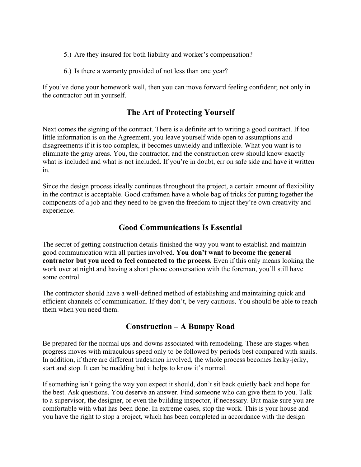- 5.) Are they insured for both liability and worker's compensation?
- 6.) Is there a warranty provided of not less than one year?

If you've done your homework well, then you can move forward feeling confident; not only in the contractor but in yourself.

## **The Art of Protecting Yourself**

Next comes the signing of the contract. There is a definite art to writing a good contract. If too little information is on the Agreement, you leave yourself wide open to assumptions and disagreements if it is too complex, it becomes unwieldy and inflexible. What you want is to eliminate the gray areas. You, the contractor, and the construction crew should know exactly what is included and what is not included. If you're in doubt, err on safe side and have it written in.

Since the design process ideally continues throughout the project, a certain amount of flexibility in the contract is acceptable. Good craftsmen have a whole bag of tricks for putting together the components of a job and they need to be given the freedom to inject they're own creativity and experience.

## **Good Communications Is Essential**

The secret of getting construction details finished the way you want to establish and maintain good communication with all parties involved. **You don't want to become the general contractor but you need to feel connected to the process.** Even if this only means looking the work over at night and having a short phone conversation with the foreman, you'll still have some control.

The contractor should have a well-defined method of establishing and maintaining quick and efficient channels of communication. If they don't, be very cautious. You should be able to reach them when you need them.

#### **Construction – A Bumpy Road**

Be prepared for the normal ups and downs associated with remodeling. These are stages when progress moves with miraculous speed only to be followed by periods best compared with snails. In addition, if there are different tradesmen involved, the whole process becomes herky-jerky, start and stop. It can be madding but it helps to know it's normal.

If something isn't going the way you expect it should, don't sit back quietly back and hope for the best. Ask questions. You deserve an answer. Find someone who can give them to you. Talk to a supervisor, the designer, or even the building inspector, if necessary. But make sure you are comfortable with what has been done. In extreme cases, stop the work. This is your house and you have the right to stop a project, which has been completed in accordance with the design